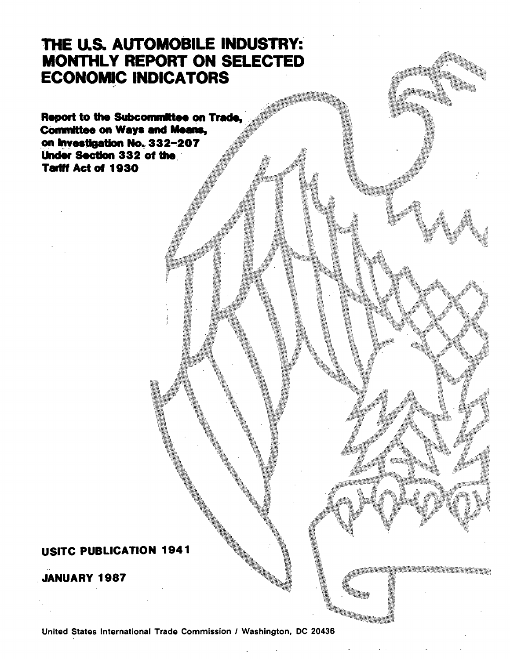# THE U.S. AUTOMOBILE INDUSTRY: MONTHLY REPORT ON SELECTED **ECONOMIC INDICATORS**

Report to the Subcommittee on Trade, **Committee on Ways and Means,** on Investigation No. 332-207 **Under Section 332 of the** Tariff Act of 1930

## **USITC PUBLICATION 1941**

**JANUARY 1987** 

United States International Trade Commission / Washington, DC 20436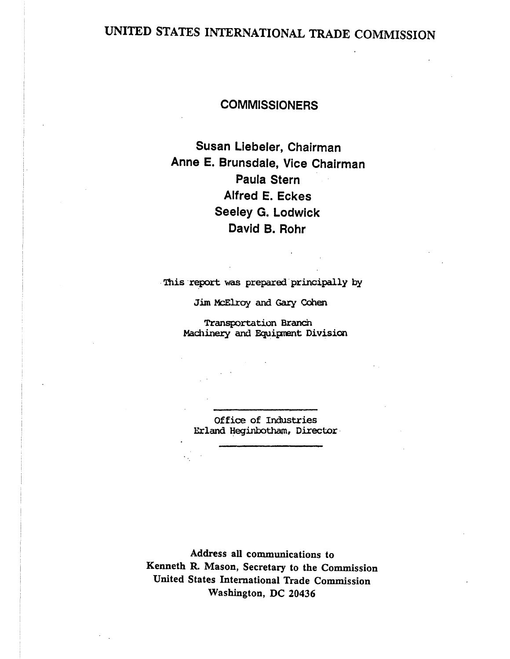# UNITED STATES INTERNATIONAL TRADE COMMISSION

### **COMMISSIONERS**

Susan Liebeler, Chairman Anne E. Brunsdale, Vice Chairman Paula Stern Alfred E. Eckes Seeley G. Lodwick David B. Rohr

. This report was prepared principally by

Jim McElroy and Gary Cohen

Transportation Branch Machinery and Equipment Division

Office of Industries Erland Heginbotham, Director·

Address all communications to Kenneth R. Mason, Secretary to the Commission United States International Trade Commission Washington, DC 20436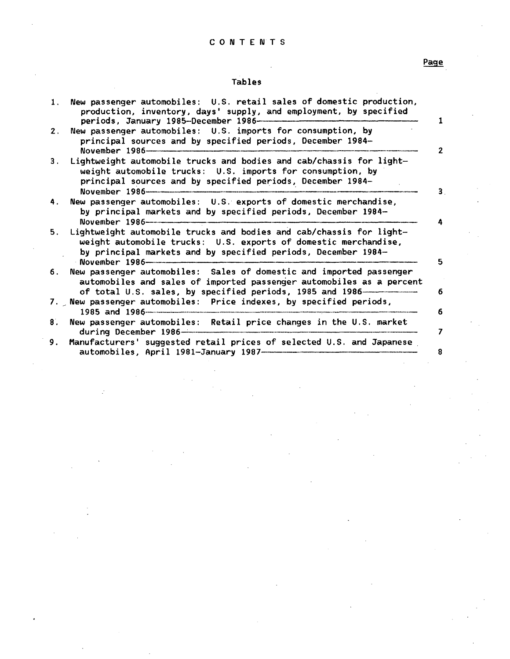#### C 0 NT ENT S

Page

## Tables

| $1 \cdot$ | New passenger automobiles: U.S. retail sales of domestic production,<br>production, inventory, days' supply, and employment, by specified<br>periods, January 1985-December 1986-                                                                |
|-----------|--------------------------------------------------------------------------------------------------------------------------------------------------------------------------------------------------------------------------------------------------|
| 2.        | New passenger automobiles: U.S. imports for consumption, by<br>principal sources and by specified periods, December 1984-<br>November 1986-<br>2                                                                                                 |
| 3.        | Lightweight automobile trucks and bodies and cab/chassis for light-<br>weight automobile trucks: U.S. imports for consumption, by<br>principal sources and by specified periods, December 1984-<br>3.                                            |
| 4.        | New passenger automobiles: U.S. exports of domestic merchandise,<br>by principal markets and by specified periods, December 1984-<br>November 1986-<br>4                                                                                         |
| 5.        | Lightweight automobile trucks and bodies and cab/chassis for light-<br>weight automobile trucks: U.S. exports of domestic merchandise,<br>by principal markets and by specified periods, December 1984-<br>November 1986 <del>------</del><br>5. |
| 6.        | New passenger automobiles: Sales of domestic and imported passenger<br>automobiles and sales of imported passenger automobiles as a percent<br>of total U.S. sales, by specified periods, 1985 and 1986-------<br>6                              |
|           | 7. New passenger automobiles: Price indexes, by specified periods,<br>6                                                                                                                                                                          |
| 8.        | New passenger automobiles: Retail price changes in the U.S. market<br>during December 1986                                                                                                                                                       |
| 9.        | Manufacturers' suggested retail prices of selected U.S. and Japanese<br>automobiles, April 1981-January 1987-<br>я                                                                                                                               |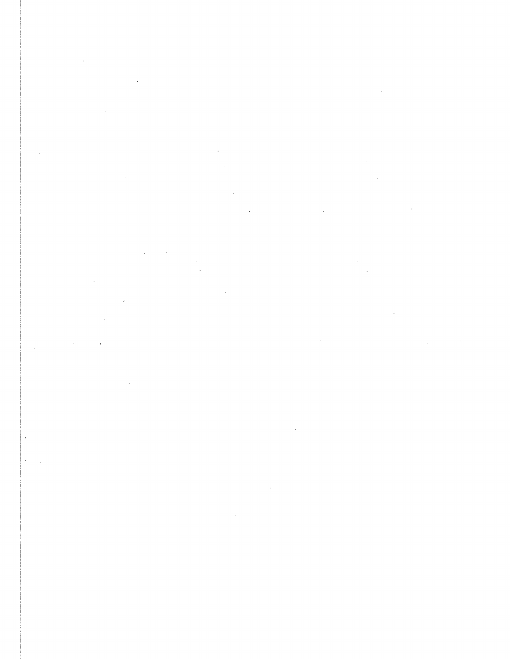$\label{eq:2} \mathcal{F}(\mathcal{F}(\mathcal{G})) = \mathcal{F}(\mathcal{G}) \mathcal{F}(\mathcal{G})$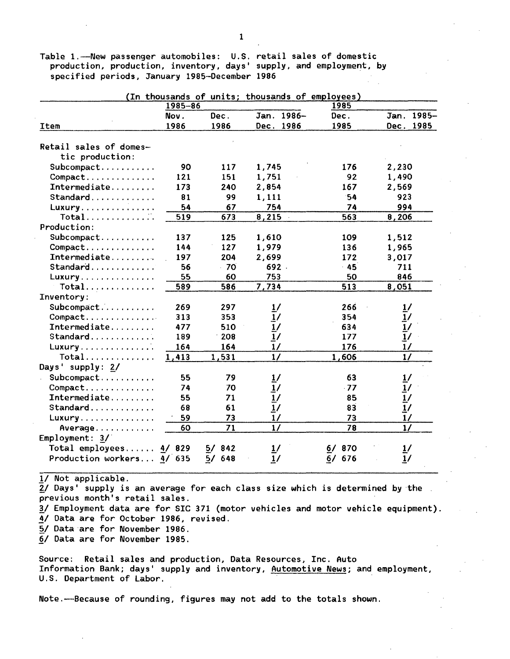Table 1.-New passenger automobiles: U.S. retail sales of domestic production, production, inventory, days' supply, and employment, by specified periods, January 1985--December 1986

(In thousands of units; thousands of employees)

|                                           | $1985 - 86$ |           |                  | 1985   |                                                                  |
|-------------------------------------------|-------------|-----------|------------------|--------|------------------------------------------------------------------|
|                                           | Nov.        | Dec.      | Jan. 1986-       | Dec.   | Jan. 1985-                                                       |
| <b>Item</b>                               | 1986        | 1986      | Dec. 1986        | 1985   | Dec. 1985                                                        |
|                                           |             |           |                  |        |                                                                  |
| Retail sales of domes-<br>tic production: |             |           |                  |        |                                                                  |
| Subcompact                                | 90          | 117       | 1,745            | 176    | 2,230                                                            |
| Compact                                   | 121         | 151       | 1,751            | 92     | 1,490                                                            |
| Intermediate                              | 173         | 240       | 2,854            | 167    | 2,569                                                            |
|                                           | 81          | 99        | 1,111            | 54     | 923                                                              |
| Luxury                                    | 54          | 67        | 754              | 74     | 994                                                              |
| Total                                     | 519         | 673       | 8,215            | 563    | 8,206                                                            |
| Production:                               |             |           |                  |        |                                                                  |
| Subcompact                                | 137         | 125       | 1,610            | 109    | 1,512                                                            |
| Compact                                   | 144         | 127       | 1,979            | 136    | 1,965                                                            |
| Intermediate                              | 197         | 204       | 2,699            | 172    | 3,017                                                            |
| Standard                                  | 56          | $-70$     | 692.             | $-45$  | 711                                                              |
| Luxury                                    | 55          | 60        | 753              | 50     | 846                                                              |
| Total                                     | 589         | 586       | 7,734            | 513    | 8,051                                                            |
| Inventory:                                |             |           |                  |        |                                                                  |
| Subcompact                                | 269         | 297       | $\frac{1}{2}$    | 266    | 1/                                                               |
| Compact                                   | 313         | 353       | $\overline{1}$ / | 354    | 1/                                                               |
| Intermediate                              | 477         | 510       | $\mathbf{1}$     | 634    | 1/                                                               |
| Standard                                  | 189         | 208       | $\frac{1}{2}$    | 177    | $\overline{1}$ /                                                 |
| Luxury                                    | 164         | 164       | 1/               | 176    | 1/                                                               |
| Total                                     | 1,413       | 1,531     | 1/               | 1,606  | 1/                                                               |
| Days' supply: 2/                          |             |           |                  |        |                                                                  |
| Subcompact                                | 55          | 79        | 1/               | 63     |                                                                  |
| Compact                                   | 74          | 70        | 1/               | $-77$  |                                                                  |
| Intermediate                              | 55          | 71        |                  | 85     |                                                                  |
| Standard                                  | 68          | 61        | $\frac{1}{1}$    | 83     | $\frac{1}{1}$<br>$\frac{1}{1}$<br>$\frac{1}{1}$<br>$\frac{1}{1}$ |
| Luxury                                    | 59          | 73        | 1/               | 73     |                                                                  |
| Average                                   | 60          | 71        | 1/               | 78     | $\frac{1}{2}$                                                    |
| Emplogment: 3/                            |             |           |                  |        |                                                                  |
| Total employees                           | 4/829       | 5/<br>842 | 1/               | 6/ 870 | $\overline{1}$ /                                                 |
| Production workers 4/ 635                 |             | 648<br>5/ | 1/               | 6/676  | 1/                                                               |
|                                           |             |           |                  |        |                                                                  |

1/ Not applicable.

 $2/$  Days' supply is an average for each class size which is determined by the  $\Box$ previous month's retail sales.

*'4.I* Employment data are for SIC 371 (motor vehicles and motor vehicle equipment).

4/ Data are for October 1986, revised.

5/ Data are for November 1986.

~/ Data are for November 1985.

Source: Retail sales and production, Data Resources, Inc. Auto Information Bank; days' supply and inventory, Automotive News; and employment, U.S. Department of Labor.

Note.---Because of rounding, figures may not add to the totals shown.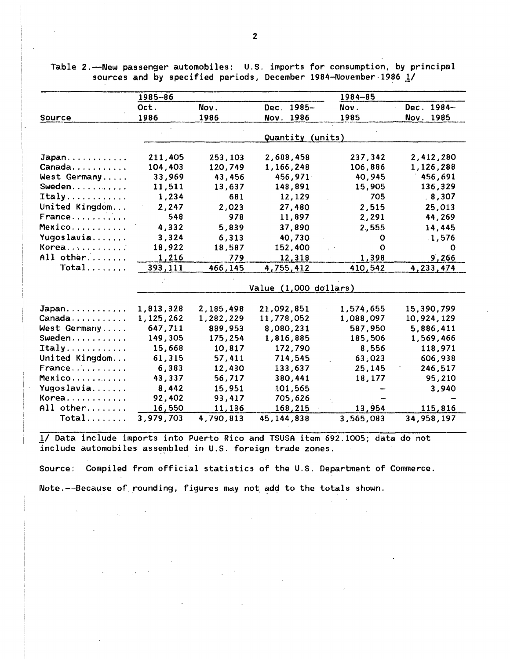|                | 1985-86     |           |                       | $1984 - 85$ |            |
|----------------|-------------|-----------|-----------------------|-------------|------------|
|                | Oct.        | Nov.      | Dec. 1985-            | Nov.        | Dec. 1984- |
| Source         | 1986        | 1986      | Nov. 1986             | 1985        | Nov. 1985  |
|                |             |           | Quantity (units)      |             |            |
| Japan          | 211,405     | 253,103   | 2,688,458             | 237,342     | 2,412,280  |
| Canada         | 104,403     | 120,749   | 1,166,248             | 106,886     | 1,126,288  |
| West Germany   | 33,969      | 43,456    | 456,971               | 40,945      | 456,691    |
| Sweden         | 11,511      | 13,637    | 148,891               | 15,905      | 136,329    |
|                | 1,234       | 681       | 12,129                | 705         | .8,307     |
| United Kingdom | 2,247       | 2,023     | 27,480                | 2,515       | 25,013     |
| France         | 548         | 978       | 11,897                | 2,291       | 44,269     |
| Mexico         | 4,332       | 5,839     | 37,890                | 2,555       | 14,445     |
| Yugoslavia     | 3,324       | 6,313     | 40,730                | O           | .1,576     |
| Korea          | 18,922      | 18,587    | 152,400               | $\Omega$    | 0          |
| All other      | 1,216       | 779       | 12,318                | 1,398       | 9,266      |
| Total          | 393,111     | 466,145   | 4,755,412             | 410,542     | 4,233,474  |
|                |             |           |                       |             |            |
|                |             |           | Value (1,000 dollars) |             |            |
| Japan          | 1,813,328   | 2,185,498 | 21,092,851            | 1,574,655   | 15,390,799 |
| Canada         | 1, 125, 262 | 1,282,229 | 11,778,052            | 1,088,097   | 10,924,129 |
| West Germany   | 647,711     | 889,953   | 8,080,231             | 587,950     | 5,886,411  |
| Sweden         | 149,305     | 175,254   | 1,816,885             | 185,506     | 1,569,466  |
| Itally         | 15,668      | 10,817    | 172,790               | 8,556       | 118,971    |
| United Kingdom | 61,315      | 57,411    | 714,545               | 63,023      | 606,938    |
| France         | 6,383       | 12,430    | 133,637               | 25,145      | 246,517    |
| Mexico         | 43,337      | 56,717    | 380,441               | 18,177      | 95,210     |
| Yugoslavia     | 8,442       | 15,951    | 101,565               |             | 3,940      |
| Korea          | 92,402      | 93,417    | 705,626               |             |            |
| All other      | 16,550      | 11,136    | 168,215               | 13,954      | 115,816    |
| $Total$        | 3,979,703   | 4,790,813 | 45, 144, 838          | 3,565,083   | 34,958,197 |

Table 2.-New passenger automobiles: U.S. imports for consumption, by principal sources and by specified periods, December 1984-November·1996 *11* 

*11* Data include imports into Puerto Rico and TSUSA item 692.1005; data do not include automobiles assembled in U.S. foreign trade zones.

Source: Compiled from official statistics of the U.S. Department of Commerce.

Note.--Because of rounding, figures may not add to the totals shown.

I

 $\sim$ 

and a string

 $\mathcal{L}$ 

 $\overline{1}$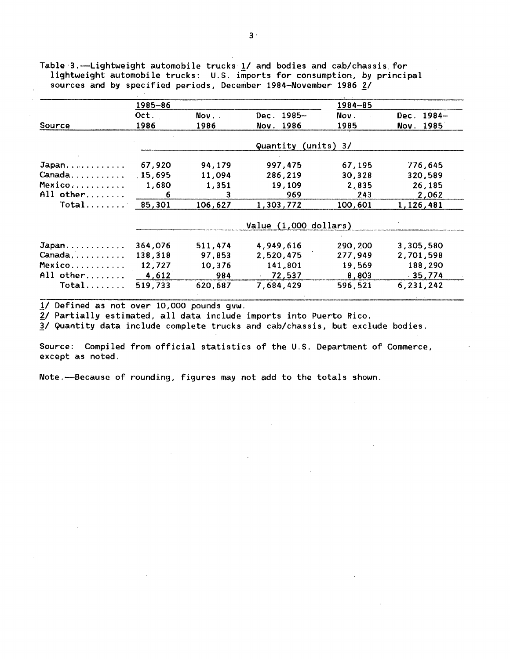|           | 1985–86 |         |                       | 1984-85      |            |
|-----------|---------|---------|-----------------------|--------------|------------|
|           |         |         |                       |              |            |
|           | Oct.    | Now.    | 1985-<br>Dec.         | Nov.         | Dec. 1984- |
| Source    | 1986    | 1986    | Nov. 1986             | 1985         | Nov. 1985  |
|           |         |         | Quantity              | $(units)$ 3/ |            |
| Japan     | 67,920  | 94,179  | 997,475               | 67,195       | 776,645    |
| Canada    | .15,695 | 11,094  | 286,219               | 30,328       | 320,589    |
| Mexico    | 1,680   | 1,351   | 19,109                | 2,835        | 26,185     |
| All other | -6      | з       | 969                   | 243          | 2,062      |
|           | 85,301  | 106,627 | 1,303,772             | 100,601      | 1,126,481  |
|           |         |         | Value (1,000 dollars) |              |            |
| Japan     | 364,076 | 511,474 | 4,949,616             | 290,200      | 3,305,580  |
| Canada,   | 138,318 | 97,853  | 2,520,475             | 277,949      | 2,701,598  |
| Mexico    | 12,727  | 10,376  | 141,801               | 19,569       | 188,290    |
| All other | 4,612   | 984     | 72,537                | 8,803        | $-35,774$  |
| Total     | 519,733 | 620,687 | 7,684,429             | 596,521      | 6,231,242  |

Table 3.-Lightweight automobile trucks 1/ and bodies and cab/chassis for lightweight automobile trucks: U.S. imports for consumption, by principal sources and by specified periods, December 1984-November 1986 2/

*11* Defined as not over 10,000 pounds gvw.

2/ Partially estimated, all data include imports into Puerto Rico.

*11* Quantity data include complete trucks and cab/chassis, but exclude bodies.

Source: Compiled from official statistics of the U.S. Department of Commerce, except as noted.

Note.-Because of rounding, figures may not add to the totals shown.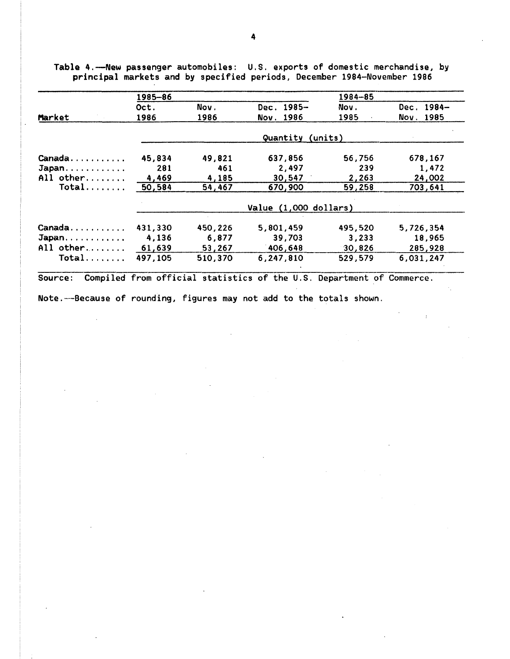|           | 1985-86 |         |                       | 1984-85 |            |
|-----------|---------|---------|-----------------------|---------|------------|
|           | Oct.    | Nov.    | Dec. 1985-            | Nov.    | Dec. 1984- |
| Market    | 1986    | 1986    | Nov. 1986             | 1985    | Nov. 1985  |
|           |         |         | Quantity (units)      |         |            |
| Canada    | 45,834  | 49,821  | 637,856               | 56,756  | 678,167    |
| Japan     | 281     | 461     | 2,497                 | 239     | 1,472      |
| All other | 4,469   | 4,185   | 30,547                | 2,263   | 24,002     |
| Total     | 50,584  | 54,467  | 670,900               | 59,258  | 703,641    |
|           |         |         | Value (1,000 dollars) |         |            |
| Canada    | 431,330 | 450,226 | 5,801,459             | 495,520 | 5,726,354  |
| Japan     | 4,136   | 6,877   | 39,703                | 3,233   | 18,965     |
| All other | 61,639  | 53,267  | 406,648               | 30,826  | 285,928    |
| $Total$   | 497,105 | 510,370 | 6,247,810             | 529,579 | 6,031,247  |
|           |         |         |                       |         |            |

Table 4.-New passenger automobiles: U.S. exports of domestic merchandise, by principal markets and by specified periods, December 1984-November 1986

Source: Compiled from official statistics of the U.S. Department of Commerce.

Note.---Because of rounding, figures may not add to the totals shown.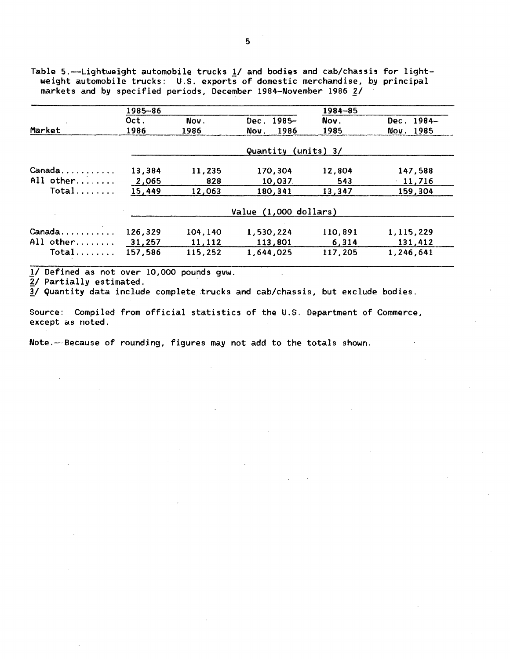Table 5.-Lightweight automobile trucks 1/ and bodies and cab/chassis for lightweight automobile trucks: U.S. exports of domestic merchandise, by principal markets and by specified periods, December 1984-November 1986 2/

|           | 1985-86 |         |                       | $1984 - 85$  |                  |
|-----------|---------|---------|-----------------------|--------------|------------------|
|           | Oct.    | Nov.    | 1985-<br>Dec.         | Nov.         | $1984 -$<br>Dec. |
| Market    | 1986    | 1986    | 1986<br>Nov.          | 1985         | Nov. 1985        |
|           |         |         | Quantity              | $(units)$ 3/ |                  |
| Canada    | 13,384  | 11,235  | 170,304               | 12,804       | 147,588          |
| All other | 2,065   | 828     | 10,037                | 543          | 11,716           |
| $Total$   | 15,449  | 12,063  | 180,341               | 13,347       | 159,304          |
|           |         |         | Value (1,000 dollars) |              |                  |
| $Canada$  | 126,329 | 104,140 | 1,530,224             | 110,891      | 1, 115, 229      |
| All other | 31,257  | 11,112  | 113,801               | 6,314        | 131,412          |
| Total     | 157,586 | 115,252 | 1,644,025             | 117,205      | 1,246,641        |

*11* Defined as not over 10,000 pounds gvw.

 $\overline{2}$ / Partially estimated.

!/Quantity data include complete trucks and cab/chassis, but exclude bodies.

Source: Compiled from official statistics of the U.S. Department of Commerce, except as noted.

Note.---Because of rounding, figures may not add to the totals shown.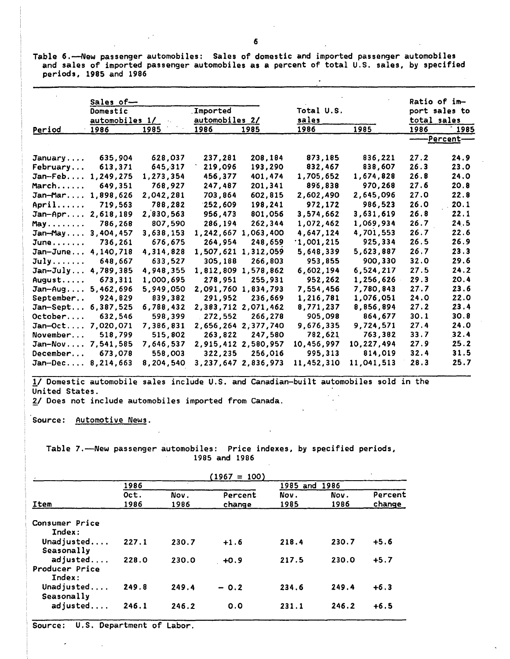Table 6.---New passenger automobiles: Sales of domestic and imported passenger automobiles and sales of imported passenger automobiles as a percent of total U.S. sales, by specified periods, 1985 and 1986

|                      | Sales of-      |           |                |                     |            |            | Ratio of im- |                     |
|----------------------|----------------|-----------|----------------|---------------------|------------|------------|--------------|---------------------|
|                      | Domestic       |           | Imported       |                     | Total U.S. |            |              | port sales to       |
|                      | automobiles 1/ |           | automobiles 2/ |                     | sales      |            | total sales  |                     |
| <u>Period</u>        | 1986           | 1985      | 1986           | 1985                | 1986       | 1985       | 1986         | 1985                |
|                      |                |           |                |                     |            |            |              | <u>-Percent----</u> |
|                      |                |           |                |                     |            |            |              |                     |
| January              | 635,904        | 628,037   | 237,281        | 208,184             | 873,185    | 836,221    | 27.2         | 24.9                |
| February             | 613,371        | 645,317   | 219,096        | 193,290             | 832,467    | 838,607    | 26.3         | 23.0                |
| Jan-Feb 1,249,275    |                | 1,273,354 | 456,377        | 401,474             | 1,705,652  | 1,674,828  | 26.8         | 24.0                |
| March                | 649,351        | 768,927   | 247,487        | 201,341             | 896,838    | 970,268    | 27.6         | 20.8                |
| Jan-Mar 1,898,626    |                | 2,042,281 | 703,864        | 602,815             | 2,602,490  | 2,645,096  | 27.0         | 22.8                |
| April                | 719,563        | 788,282   | 252,609        | 198,241             | 972,172    | 986,523    | 26.0         | 20.1                |
| Jan-Apr 2,618,189    |                | 2,830,563 | 956,473        | 801,056             | 3,574,662  | 3,631,619  | 26.8         | 22.1                |
| May                  | 786,268        | 807.590   | 286,194        | 262,344             | 1,072,462  | 1,069,934  | 26.7         | 24.5                |
| Jan-May              | 3,404,457      | 3,638,153 |                | 1,242,667 1,063,400 | 4,647,124  | 4,701,553  | 26.7         | 22.6                |
| June                 | 736,261        | 676,675   | 264,954        | 248,659             | 1,001,215  | 925,334    | 26.5         | 26.9                |
| Jan-June 4, 140, 718 |                | 4,314,828 |                | 1,507,621 1,312,059 | 5,648,339  | 5,623,887  | 26.7         | 23.3                |
| July                 | 648,667        | 633,527   | 305,188        | 266,803             | 953,855    | 900,330    | 32.0         | 29.6                |
| Jan-July 4,789,385   |                | 4,948,355 | 1,812,809      | 1,578,862           | 6,602,194  | 6,524,217  | 27.5         | 24.2                |
| August               | 673,311        | 1,000,695 | 278,951        | 255,931             | 952,262    | 1,256,626  | 29.3         | 20.4                |
| $Jan-Auq$            | 5,462,696      | 5,949,050 |                | 2,091,760 1,834,793 | 7,554,456  | 7,780,843  | 27.7         | 23.6                |
| September            | 924,829        | 839,382   | 291,952        | 236,669             | 1,216,781  | 1,076,051  | 24.0         | 22.0                |
| $Jan-Sept.$          | 6,387,525      | 6,788,432 |                | 2,383,712 2,071,462 | 8,771,237  | 8,856,894  | 27.2         | 23.4                |
| October              | 632,546        | 598,399   | 272,552        | 266,278             | 905,098    | 864,677    | 30.1         | 30.8                |
| $Jan-Oct.$           | 7,020,071      | 7,386,831 |                | 2,656,264 2,377,740 | 9,676,335  | 9,724,571  | 27.4         | 24.0                |
| November             | 518,799        | 515,802   | 263,822        | 247,580             | 782,621    | 763,382    | 33.7         | 32.4                |
| Jan-Nov 7,541,585    |                | 7,646,537 |                | 2,915,412 2,580,957 | 10,456,997 | 10,227,494 | 27.9         | 25.2                |
| December             | 673,078        | 558,003   | 322,235        | 256,016             | 995,313    | 814,019    | 32.4         | 31.5                |
| Jan-Dec 8,214,663    |                | 8,204,540 |                | 3,237,647 2,836,973 | 11,452,310 | 11,041,513 | 28.3         | 25.7                |

1/ Domestic automobile sales include U.S. and Canadian-built automobiles sold in the United States.

2/ Does not include automobiles imported from Canada.

Source: Automotive News.

I

Table 7.-New passenger automobiles: Price indexes, by specified periods, 1985 and 1986

|                                      |       |       | (1967 = 100) |       |               |         |  |
|--------------------------------------|-------|-------|--------------|-------|---------------|---------|--|
|                                      | 1986  |       |              |       | 1985 and 1986 |         |  |
|                                      | Oct.  | Nov.  | Percent      | Nov.  | Nov.          | Percent |  |
| Item                                 | 1986  | 1986  | change       | 1985  | 1986          | change  |  |
| Consumer Price<br>Index:             |       |       |              |       |               |         |  |
| Unadjusted<br>Seasonally             | 227.1 | 230.7 | $+1.6$       | 218.4 | 230.7         | $+5.6$  |  |
| adjusted<br>Producer Price<br>Index: | 228.0 | 230.0 | $+0.9$       | 217.5 | 230.0         | $+5.7$  |  |
| Unadjusted<br>Seasonally             | 249.8 | 249.4 | $-0.2$       | 234.6 | 249.4         | $+6.3$  |  |
| adjusted                             | 246.1 | 246.2 | 0.0          | 231.1 | 246.2         | $+6.5$  |  |

Source: U.S. Department of Labor.

 $\overline{\phantom{a}}$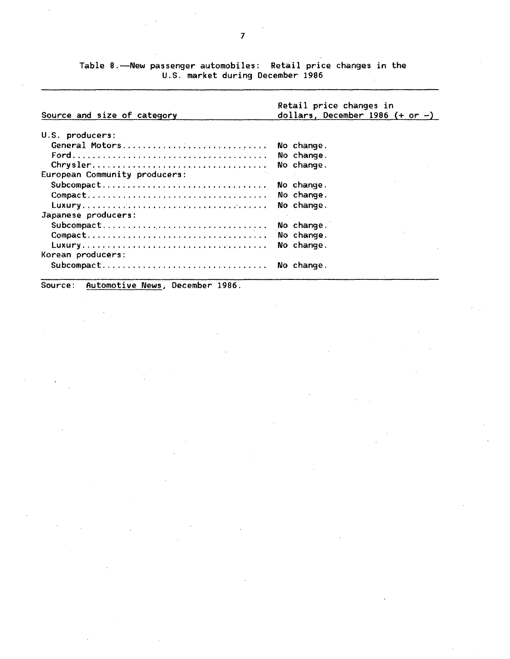| Source and size of category   | Retail price changes in<br>dollars, December 1986 $(+ or -)$ |
|-------------------------------|--------------------------------------------------------------|
|                               |                                                              |
| U.S. producers:               |                                                              |
| General Motors                | No change.                                                   |
|                               | No change.                                                   |
|                               | No change.                                                   |
| European Community producers: |                                                              |
| Subcompact                    | No change.                                                   |
|                               | No change.                                                   |
|                               | No change.                                                   |
| Japanese producers:           |                                                              |
| Subcompact                    | No change.                                                   |
|                               | No change.                                                   |
|                               | No change.                                                   |
| Korean producers:             |                                                              |
| Subcompact                    | No change.                                                   |
|                               |                                                              |

Table 8.~New passenger automobiles: Retail price changes in the U.S. market during December 1986

Source: Automotive News, December 1986.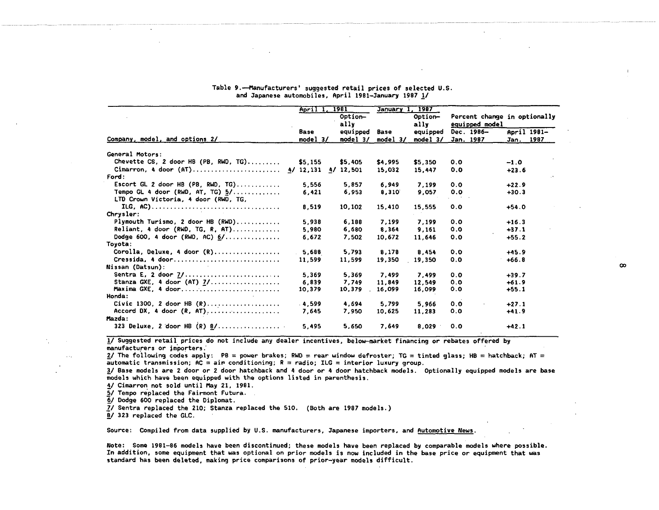|                                                             | 1981<br>April 1 |                 | January  | 1987            |                                                |             |
|-------------------------------------------------------------|-----------------|-----------------|----------|-----------------|------------------------------------------------|-------------|
|                                                             |                 | Option-<br>ally |          | Option-<br>ally | Percent change in optionally<br>equipped model |             |
|                                                             | <b>Base</b>     | equipped        | Base     | equipped        | Dec. 1986-                                     | April 1981- |
| Company, model, and options 2/                              | model 3/        | model 3/        | model 3/ | model 3/        | Jan. 1987                                      | Jan. 1987   |
| General Motors:                                             |                 |                 |          |                 |                                                |             |
| Chevette CS, 2 door HB (PB, RWD, TG)                        | \$5,155         | \$5,405         | \$4,995  | \$5,350         | 0.0                                            | $-1.0$      |
| Cimarron, 4 door $(AT)$                                     | 4/12,131        | 4/12,501        | 15,032   | 15,447          | 0.0                                            | $+23.6$     |
| Ford:                                                       |                 |                 |          |                 |                                                |             |
| Escort GL 2 door HB (PB, RWD, TG)                           | 5.556           | 5,857           | 6,949    | 7,199           | 0.0                                            | $+22.9$     |
| Tempo GL 4 door (RWD, AT, TG) 5/                            | 6.421           | 6,953           | 8,310    | 9,057           | 0.0                                            | $+30.3$     |
| LTD Crown Victoria, 4 door (RWD, TG,                        |                 |                 |          |                 |                                                |             |
|                                                             | 8.519           | 10,102          | 15,410   | 15,555          | 0.0                                            | $+54.0$     |
| Chrysler:                                                   |                 |                 |          |                 |                                                |             |
| Plymouth Turismo, 2 door HB (RWD)                           | 5.938           | 6,188           | 7,199    | 7,199           | 0.0                                            | $+16.3$     |
| Reliant, 4 door (RWD, TG, R, AT)                            | 5.980           | 6,680           | 8,364    | 9,161           | 0.0                                            | $+37.1$     |
| Dodge 600, 4 door (RWD, AC) 6/                              | 6.672           | 7,502           | 10,672   | 11,646          | 0.0                                            | $+55.2$     |
| Toyota:                                                     |                 |                 |          |                 |                                                |             |
| Corolla, Deluxe, 4 door $(R)$ ,                             | 5,688           | 5,793           | 8.178    | 8,454           | 0.0                                            | $+45.9$     |
| Cressida, 4 door                                            | 11,599          | 11,599          | 19,350   | 19,350          | 0.0                                            | $+66.8$     |
| Nissan (Datsun):                                            |                 |                 |          |                 |                                                |             |
| Sentra E, 2 door 7/                                         | 5.369           | 5,369           | 7,499    | 7,499           | 0.0                                            | $+39.7$     |
| Stanza GXE, 4 door (AT) $\mathbf{Z}/\ldots$                 | 6.839           | 7,749           | 11,849   | 12,549          | 0.0                                            | $+61.9$     |
| Maxima GXE, 4 door                                          | 10,379          | 10,379          | 16,099   | 16,099          | 0.0                                            | $+55.1$     |
| Honda:                                                      |                 |                 |          |                 |                                                |             |
| Civic 1300, 2 door HB $(R)$                                 | 4,599           | 4,694           | 5,799    | 5.966           | 0.0                                            | $+27.1$     |
| Accord DX, 4 door $(R, AT), \ldots, \ldots, \ldots, \ldots$ | 7.645           | 7,950           | 10,625   | 11,283          | 0.0                                            | $+41.9$     |
| Mazda:                                                      |                 |                 |          |                 |                                                |             |
| 323 Deluxe, 2 door HB $(R)$ 8/                              | 5,495           | 5,650           | 7,649    | 8.029           | 0.0                                            | $+42.1$     |

#### Table 9.--Manufacturers' suggested retail prices of selected U.S. and Japanese automobiles, April 1981-January 1987 1/

!/ Suggested retail prices do not include any dealer incentives, below-market financing or rebates offered by manufacturers or importers.

 $2/$  The following codes apply: PB = power brakes; RWD = rear window defroster; TG = tinted glass; HB = hatchback; AT = automatic transmission; AC = air conditioning;  $R =$  radio; ILG = interior luxury group.

!/ Base models are 2 door or 2 door hatchback and 4 door or 4 door hatchback models. Optionally equipped models are base models which have been equipped with the options listed in parenthesis.

4/ Cimarron not sold until May 21, 1981.

5/ Tempo replaced the Fairmont Futura.

 $6/$  Dodge 600 replaced the Diplomat.

*11* Sentra replaced the 210; Stanza replaced the 510. (Both are 1987 models.)

8/ 323 replaced the GLC.

n.  $\sim$ 

Source: Compiled from data supplied by U.S. manufacturers, Japanese importers, and Automotive News.

Note: Some 1981-86 models have been discontinued; these models have been replaced by comparable models where possible. In addition, some equipment that was optional on prior models is now included in the base price or equipment that was<br>standard has been deleted, making price comparisons of prior-year models difficult.